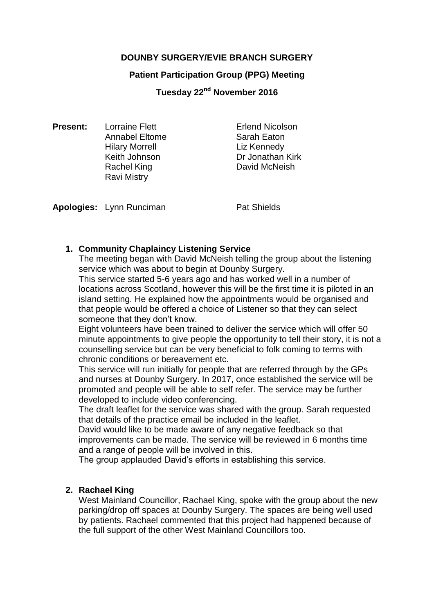# **DOUNBY SURGERY/EVIE BRANCH SURGERY**

#### **Patient Participation Group (PPG) Meeting**

**Tuesday 22nd November 2016**

**Present:** Lorraine Flett **Exercise Erlend Nicolson** Annabel Eltome Sarah Eaton Hilary Morrell **Liz Kennedy** Rachel King **David McNeish** Ravi Mistry

Keith Johnson Dr Jonathan Kirk

**Apologies:** Lynn Runciman Pat Shields

## **1. Community Chaplaincy Listening Service**

The meeting began with David McNeish telling the group about the listening service which was about to begin at Dounby Surgery.

This service started 5-6 years ago and has worked well in a number of locations across Scotland, however this will be the first time it is piloted in an island setting. He explained how the appointments would be organised and that people would be offered a choice of Listener so that they can select someone that they don't know.

Eight volunteers have been trained to deliver the service which will offer 50 minute appointments to give people the opportunity to tell their story, it is not a counselling service but can be very beneficial to folk coming to terms with chronic conditions or bereavement etc.

This service will run initially for people that are referred through by the GPs and nurses at Dounby Surgery. In 2017, once established the service will be promoted and people will be able to self refer. The service may be further developed to include video conferencing.

The draft leaflet for the service was shared with the group. Sarah requested that details of the practice email be included in the leaflet.

David would like to be made aware of any negative feedback so that improvements can be made. The service will be reviewed in 6 months time and a range of people will be involved in this.

The group applauded David's efforts in establishing this service.

## **2. Rachael King**

West Mainland Councillor, Rachael King, spoke with the group about the new parking/drop off spaces at Dounby Surgery. The spaces are being well used by patients. Rachael commented that this project had happened because of the full support of the other West Mainland Councillors too.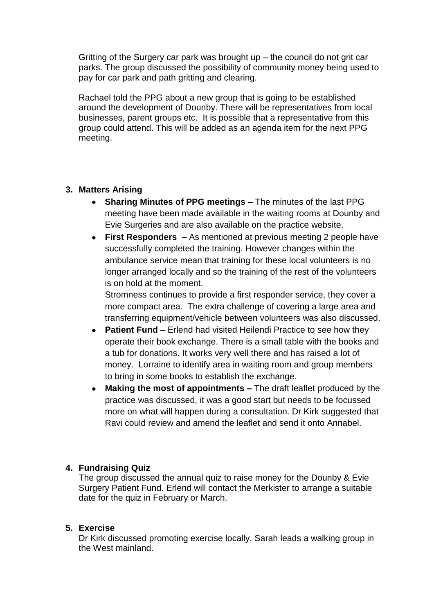Gritting of the Surgery car park was brought up – the council do not grit car parks. The group discussed the possibility of community money being used to pay for car park and path gritting and clearing.

Rachael told the PPG about a new group that is going to be established around the development of Dounby. There will be representatives from local businesses, parent groups etc. It is possible that a representative from this group could attend. This will be added as an agenda item for the next PPG meeting.

# **3. Matters Arising**

- **Sharing Minutes of PPG meetings –** The minutes of the last PPG meeting have been made available in the waiting rooms at Dounby and Evie Surgeries and are also available on the practice website.
- **First Responders –** As mentioned at previous meeting 2 people have successfully completed the training. However changes within the ambulance service mean that training for these local volunteers is no longer arranged locally and so the training of the rest of the volunteers is on hold at the moment.

Stromness continues to provide a first responder service, they cover a more compact area. The extra challenge of covering a large area and transferring equipment/vehicle between volunteers was also discussed.

- **Patient Fund –** Erlend had visited Heilendi Practice to see how they operate their book exchange. There is a small table with the books and a tub for donations. It works very well there and has raised a lot of money. Lorraine to identify area in waiting room and group members to bring in some books to establish the exchange.
- $\bullet$ **Making the most of appointments –** The draft leaflet produced by the practice was discussed, it was a good start but needs to be focussed more on what will happen during a consultation. Dr Kirk suggested that Ravi could review and amend the leaflet and send it onto Annabel.

## **4. Fundraising Quiz**

The group discussed the annual quiz to raise money for the Dounby & Evie Surgery Patient Fund. Erlend will contact the Merkister to arrange a suitable date for the quiz in February or March.

## **5. Exercise**

Dr Kirk discussed promoting exercise locally. Sarah leads a walking group in the West mainland.